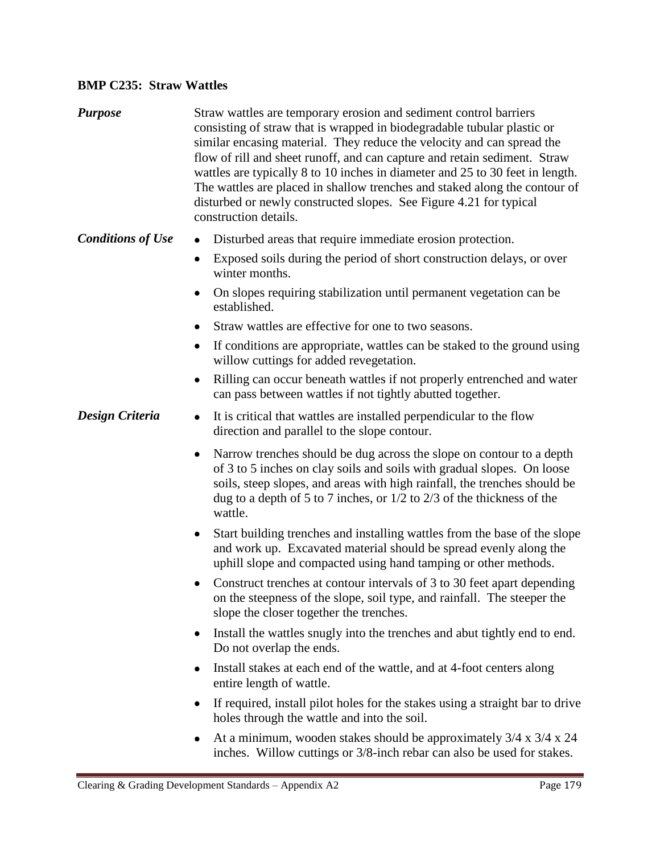## **BMP C235: Straw Wattles**

| <b>Purpose</b>           | Straw wattles are temporary erosion and sediment control barriers<br>consisting of straw that is wrapped in biodegradable tubular plastic or<br>similar encasing material. They reduce the velocity and can spread the<br>flow of rill and sheet runoff, and can capture and retain sediment. Straw<br>wattles are typically 8 to 10 inches in diameter and 25 to 30 feet in length.<br>The wattles are placed in shallow trenches and staked along the contour of<br>disturbed or newly constructed slopes. See Figure 4.21 for typical<br>construction details. |
|--------------------------|-------------------------------------------------------------------------------------------------------------------------------------------------------------------------------------------------------------------------------------------------------------------------------------------------------------------------------------------------------------------------------------------------------------------------------------------------------------------------------------------------------------------------------------------------------------------|
| <b>Conditions of Use</b> | Disturbed areas that require immediate erosion protection.<br>$\bullet$                                                                                                                                                                                                                                                                                                                                                                                                                                                                                           |
|                          | Exposed soils during the period of short construction delays, or over<br>$\bullet$<br>winter months.                                                                                                                                                                                                                                                                                                                                                                                                                                                              |
|                          | On slopes requiring stabilization until permanent vegetation can be<br>٠<br>established.                                                                                                                                                                                                                                                                                                                                                                                                                                                                          |
|                          | Straw wattles are effective for one to two seasons.                                                                                                                                                                                                                                                                                                                                                                                                                                                                                                               |
|                          | If conditions are appropriate, wattles can be staked to the ground using<br>٠<br>willow cuttings for added revegetation.                                                                                                                                                                                                                                                                                                                                                                                                                                          |
|                          | Rilling can occur beneath wattles if not properly entrenched and water<br>٠<br>can pass between wattles if not tightly abutted together.                                                                                                                                                                                                                                                                                                                                                                                                                          |
| Design Criteria          | It is critical that wattles are installed perpendicular to the flow<br>٠<br>direction and parallel to the slope contour.                                                                                                                                                                                                                                                                                                                                                                                                                                          |
|                          | Narrow trenches should be dug across the slope on contour to a depth<br>$\bullet$<br>of 3 to 5 inches on clay soils and soils with gradual slopes. On loose<br>soils, steep slopes, and areas with high rainfall, the trenches should be<br>dug to a depth of 5 to 7 inches, or $1/2$ to $2/3$ of the thickness of the<br>wattle.                                                                                                                                                                                                                                 |
|                          | Start building trenches and installing wattles from the base of the slope<br>$\bullet$<br>and work up. Excavated material should be spread evenly along the<br>uphill slope and compacted using hand tamping or other methods.                                                                                                                                                                                                                                                                                                                                    |
|                          | Construct trenches at contour intervals of 3 to 30 feet apart depending<br>on the steepness of the slope, soil type, and rainfall. The steeper the<br>slope the closer together the trenches.                                                                                                                                                                                                                                                                                                                                                                     |
|                          | Install the wattles snugly into the trenches and abut tightly end to end.<br>٠<br>Do not overlap the ends.                                                                                                                                                                                                                                                                                                                                                                                                                                                        |
|                          | Install stakes at each end of the wattle, and at 4-foot centers along<br>entire length of wattle.                                                                                                                                                                                                                                                                                                                                                                                                                                                                 |
|                          | If required, install pilot holes for the stakes using a straight bar to drive<br>٠<br>holes through the wattle and into the soil.                                                                                                                                                                                                                                                                                                                                                                                                                                 |
|                          |                                                                                                                                                                                                                                                                                                                                                                                                                                                                                                                                                                   |

At a minimum, wooden stakes should be approximately 3/4 x 3/4 x 24 inches. Willow cuttings or 3/8-inch rebar can also be used for stakes.